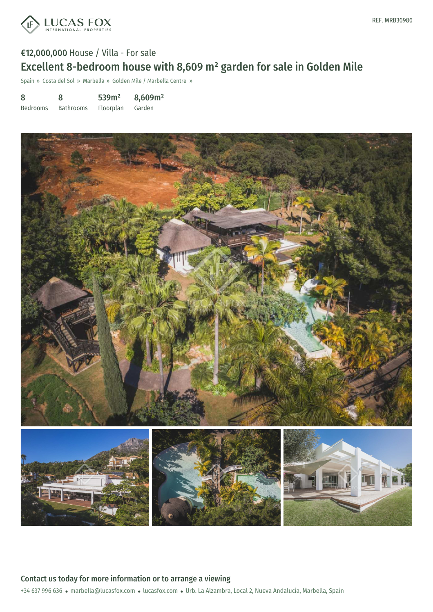

# €12,000,000 House / Villa - For sale Excellent 8-bedroom house with 8,609 m² garden for sale in Golden Mile

Spain » Costa del Sol » Marbella » Golden Mile / Marbella Centre »

| 8               | 8                | 539m <sup>2</sup> | 8,609m <sup>2</sup> |
|-----------------|------------------|-------------------|---------------------|
| <b>Bedrooms</b> | <b>Bathrooms</b> | Floorplan         | Garden              |

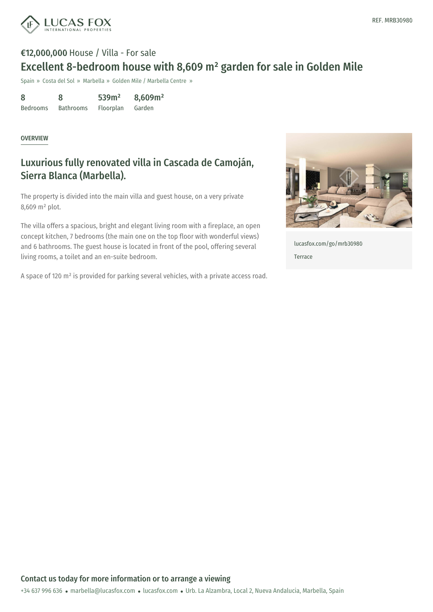

# €12,000,000 House / Villa - For sale Excellent 8-bedroom house with 8,609 m² garden for sale in Golden Mile

Spain » Costa del Sol » Marbella » Golden Mile / Marbella Centre »

| 8               | 8                | 539m <sup>2</sup> | 8,609m <sup>2</sup> |
|-----------------|------------------|-------------------|---------------------|
| <b>Bedrooms</b> | <b>Bathrooms</b> | Floorplan         | Garden              |

#### **OVERVIEW**

## Luxurious fully renovated villa in Cascada de Camoján, Sierra Blanca (Marbella).

The property is divided into the main villa and guest house, on a very private 8,609 m² plot.

The villa offers a spacious, bright and elegant living room with a fireplace, an open concept kitchen, 7 bedrooms (the main one on the top floor with wonderful views) and 6 bathrooms. The guest house is located in front of the pool, offering several living rooms, a toilet and an en-suite bedroom.

A space of 120 m² is provided for parking several vehicles, with a private access road.



[lucasfox.com/go/mrb30980](https://www.lucasfox.com/go/mrb30980) Terrace